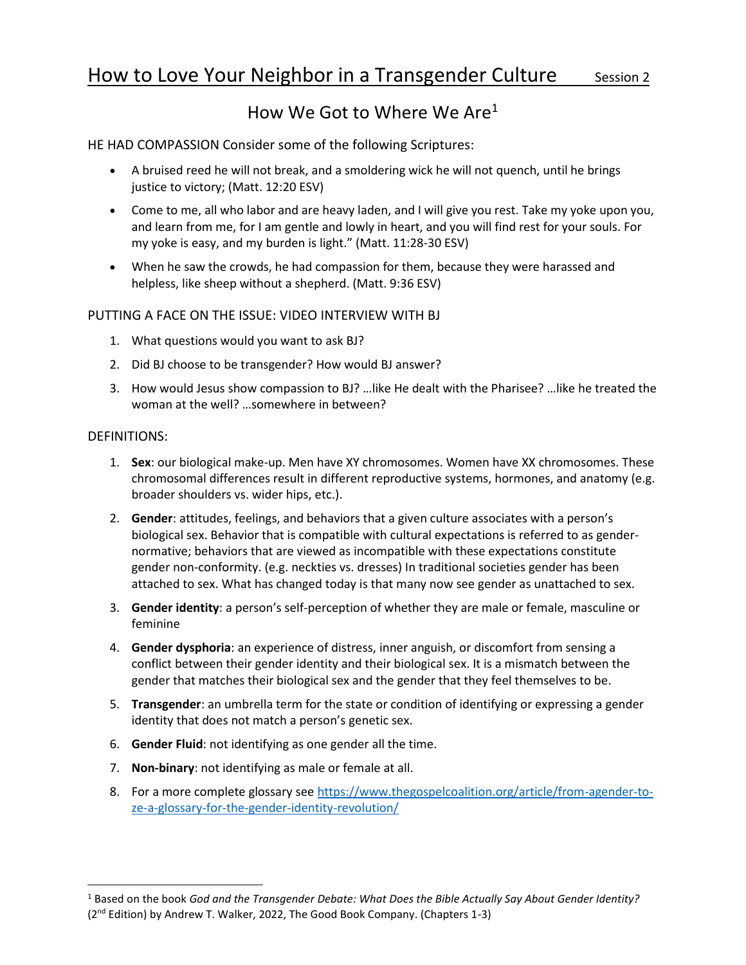# How We Got to Where We Are<sup>1</sup>

HE HAD COMPASSION Consider some of the following Scriptures:

- A bruised reed he will not break, and a smoldering wick he will not quench, until he brings justice to victory; (Matt. 12:20 ESV)
- Come to me, all who labor and are heavy laden, and I will give you rest. Take my yoke upon you, and learn from me, for I am gentle and lowly in heart, and you will find rest for your souls. For my yoke is easy, and my burden is light." (Matt. 11:28-30 ESV)
- When he saw the crowds, he had compassion for them, because they were harassed and helpless, like sheep without a shepherd. (Matt. 9:36 ESV)

## PUTTING A FACE ON THE ISSUE: VIDEO INTERVIEW WITH BJ

- 1. What questions would you want to ask BJ?
- 2. Did BJ choose to be transgender? How would BJ answer?
- 3. How would Jesus show compassion to BJ? …like He dealt with the Pharisee? …like he treated the woman at the well? …somewhere in between?

#### DEFINITIONS:

- 1. **Sex**: our biological make-up. Men have XY chromosomes. Women have XX chromosomes. These chromosomal differences result in different reproductive systems, hormones, and anatomy (e.g. broader shoulders vs. wider hips, etc.).
- 2. **Gender**: attitudes, feelings, and behaviors that a given culture associates with a person's biological sex. Behavior that is compatible with cultural expectations is referred to as gendernormative; behaviors that are viewed as incompatible with these expectations constitute gender non-conformity. (e.g. neckties vs. dresses) In traditional societies gender has been attached to sex. What has changed today is that many now see gender as unattached to sex.
- 3. **Gender identity**: a person's self-perception of whether they are male or female, masculine or feminine
- 4. **Gender dysphoria**: an experience of distress, inner anguish, or discomfort from sensing a conflict between their gender identity and their biological sex. It is a mismatch between the gender that matches their biological sex and the gender that they feel themselves to be.
- 5. **Transgender**: an umbrella term for the state or condition of identifying or expressing a gender identity that does not match a person's genetic sex.
- 6. **Gender Fluid**: not identifying as one gender all the time.
- 7. **Non-binary**: not identifying as male or female at all.
- 8. For a more complete glossary see https://www.thegospelcoalition.org/article/from-agender-toze-a-glossary-for-the-gender-identity-revolution/

<sup>1</sup> Based on the book *God and the Transgender Debate: What Does the Bible Actually Say About Gender Identity?* (2nd Edition) by Andrew T. Walker, 2022, The Good Book Company. (Chapters 1-3)